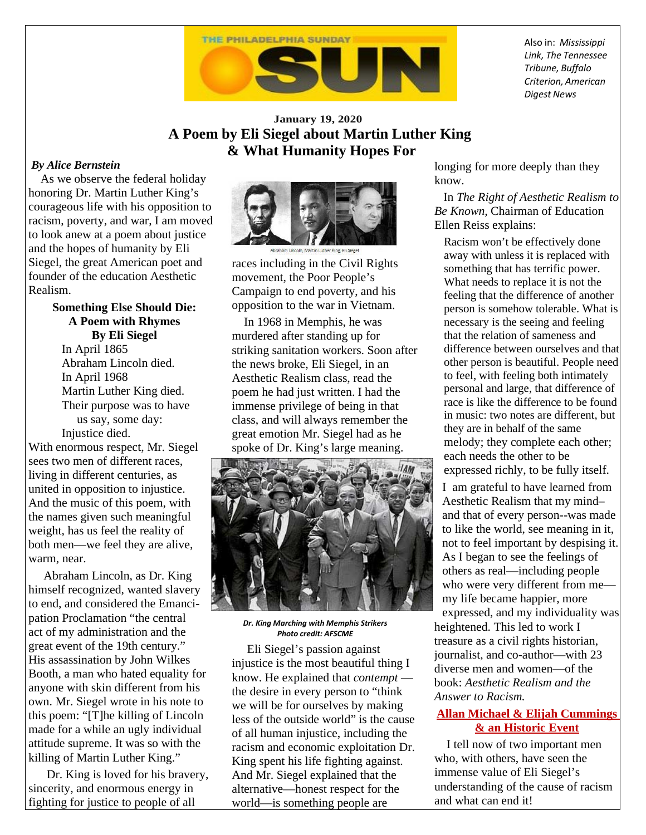

Also in: *Mississippi Link, The Tennessee Tribune, Buffalo Criterion, American Digest News*

## **January 19, 2020 A Poem by Eli Siegel about Martin Luther King & What Humanity Hopes For**

## *By Alice Bernstein*

 As we observe the federal holiday honoring Dr. Martin Luther King's courageous life with his opposition to racism, poverty, and war, I am moved to look anew at a poem about justice and the hopes of humanity by Eli Siegel, the great American poet and founder of the education Aesthetic Realism.

> **Something Else Should Die: A Poem with Rhymes By Eli Siegel** In April 1865 Abraham Lincoln died. In April 1968 Martin Luther King died. Their purpose was to have

 us say, some day: Injustice died.

With enormous respect, Mr. Siegel sees two men of different races, living in different centuries, as united in opposition to injustice. And the music of this poem, with the names given such meaningful weight, has us feel the reality of both men—we feel they are alive, warm, near.

 Abraham Lincoln, as Dr. King himself recognized, wanted slavery to end, and considered the Emancipation Proclamation "the central act of my administration and the great event of the 19th century." His assassination by John Wilkes Booth, a man who hated equality for anyone with skin different from his own. Mr. Siegel wrote in his note to this poem: "[T]he killing of Lincoln made for a while an ugly individual attitude supreme. It was so with the killing of Martin Luther King."

 Dr. King is loved for his bravery, sincerity, and enormous energy in fighting for justice to people of all



races including in the Civil Rights movement, the Poor People's Campaign to end poverty, and his opposition to the war in Vietnam.

 In 1968 in Memphis, he was murdered after standing up for striking sanitation workers. Soon after the news broke, Eli Siegel, in an Aesthetic Realism class, read the poem he had just written. I had the immense privilege of being in that class, and will always remember the great emotion Mr. Siegel had as he spoke of Dr. King's large meaning.



*Dr. King Marching with Memphis Strikers Photo credit: AFSCME* 

 Eli Siegel's passion against injustice is the most beautiful thing I know. He explained that *contempt* the desire in every person to "think we will be for ourselves by making less of the outside world" is the cause of all human injustice, including the racism and economic exploitation Dr. King spent his life fighting against. And Mr. Siegel explained that the alternative—honest respect for the world—is something people are

longing for more deeply than they know.

 In *The Right of Aesthetic Realism to Be Known,* Chairman of Education Ellen Reiss explains:

Racism won't be effectively done away with unless it is replaced with something that has terrific power. What needs to replace it is not the feeling that the difference of another person is somehow tolerable. What is necessary is the seeing and feeling that the relation of sameness and difference between ourselves and that other person is beautiful. People need to feel, with feeling both intimately personal and large, that difference of race is like the difference to be found in music: two notes are different, but they are in behalf of the same melody; they complete each other; each needs the other to be expressed richly, to be fully itself. I am grateful to have learned from Aesthetic Realism that my mind– and that of every person--was made to like the world, see meaning in it, not to feel important by despising it. As I began to see the feelings of others as real—including people who were very different from me my life became happier, more expressed, and my individuality was heightened. This led to work I treasure as a civil rights historian, journalist, and co-author—with 23 diverse men and women—of the book: *Aesthetic Realism and the Answer to Racism.*

## **Allan Michael & Elijah Cummings & an Historic Event**

I tell now of two important men who, with others, have seen the immense value of Eli Siegel's understanding of the cause of racism and what can end it!